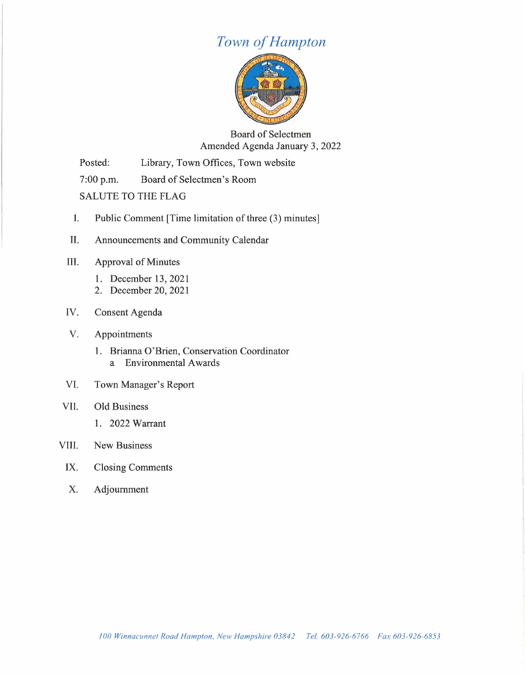## *Town of Hampton*



Board of Selectmen Amended Agenda January 3, 2022

Posted: Library, Town Offices, Town website

7:00 p.m. Board of Selectmen's Room

SALUTE TO THE FLAG

- I. Public Comment [Time limitation of three (3) minutes]
- II. Announcements and Community Calendar
- III. Approval of Minutes
	- 1. December 13, 2021
	- 2. December 20, 2021
- IV. Consent Agenda
- V. Appointments
	- 1. Brianna O'Brien, Conservation Coordinator a Environmental Awards
- VI. Town Manager's Report
- VII. Old Business
	- 1. 2022 Warrant

### VIII. New Business

- IX. Closing Comments
- X. Adjournment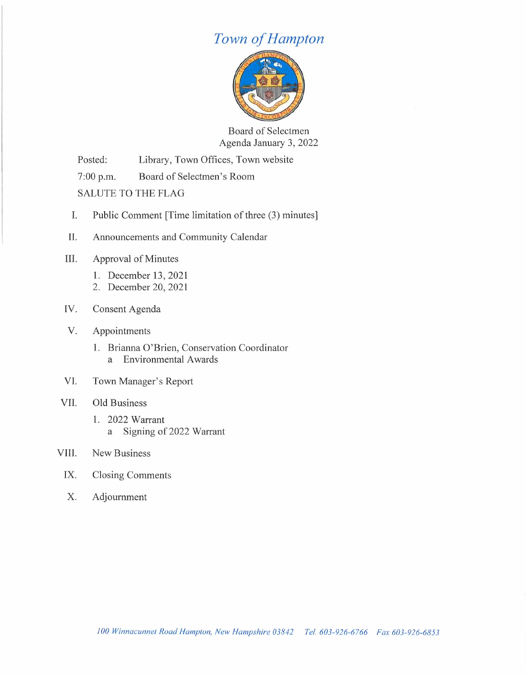## *Town of Hampton*



Board of Selectmen Agenda January 3, 2022

Posted: Library, Town Offices, Town website

7:00 p.m. Board of Selectmen's Room

SALUTE TO THE FLAG

- I. Public Comment [Time limitation of three (3) minutes]
- II. Announcements and Community Calendar
- III. Approval of Minutes
	- 1. December 13, 2021
	- 2. December 20, 2021
- IV. Consent Agenda
- V. Appointments
	- 1. Brianna O'Brien, Conservation Coordinator a Environmental Awards
- VI. Town Manager's Report

#### VII. Old Business

1. 2022 Warrant a Signing of 2022 Warrant

### VIII. New Business

- IX. Closing Comments
- X. Adjournment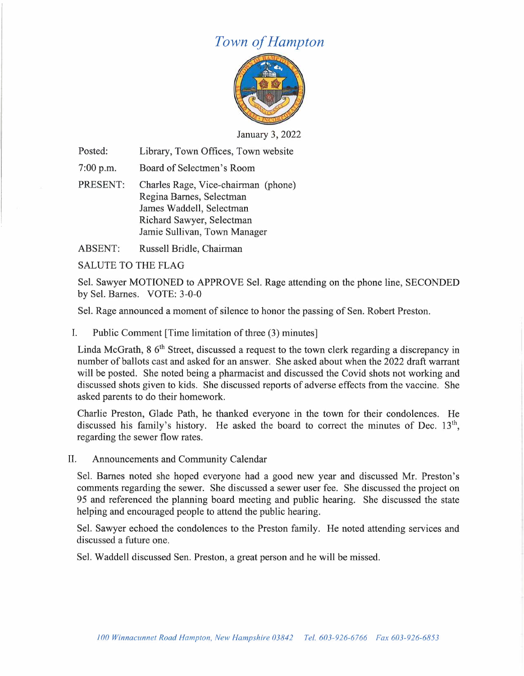# *Town of Hampton*



January 3, 2022

Posted: Library, Town Offices, Town website

 $7:00$  p.m. Board of Selectmen's Room

PRESENT: Charles Rage, Vice-chairman (phone) Regina Barnes, Selectman James Waddell, Selectman Richard Sawyer, Selectman Jamie Sullivan, Town Manager

ABSENT: Russell Bridle, Chairman

SALUTE TO THE FLAG

Sel. Sawyer MOTIONED to APPROVE Sel. Rage attending on the phone line, SECONDED by Sel. Barnes. VOTE: 3-0-0

Sel. Rage announced a moment of silence to honor the passing of Sen. Robert Preston.

I. Public Comment [Time limitation of three (3) minutes]

Linda McGrath, 8 6<sup>th</sup> Street, discussed a request to the town clerk regarding a discrepancy in number of ballots cast and asked for an answer. She asked about when the 2022 draft warrant will be posted. She noted being a pharmacist and discussed the Covid shots not working and discussed shots given to kids. She discussed reports of adverse effects from the vaccine. She asked parents to do their homework.

Charlie Preston, Glade Path, he thanked everyone in the town for their condolences. He discussed his family's history. He asked the board to correct the minutes of Dec.  $13<sup>th</sup>$ , regarding the sewer flow rates.

II. Announcements and Community Calendar

Sel. Barnes noted she hoped everyone had a good new year and discussed Mr. Preston's comments regarding the sewer. She discussed a sewer user fee. She discussed the project on 95 and referenced the planning board meeting and public hearing. She discussed the state helping and encouraged people to attend the public hearing.

Sel. Sawyer echoed the condolences to the Preston family. He noted attending services and discussed a future one.

Sel. Waddell discussed Sen. Preston, a great person and he will be missed.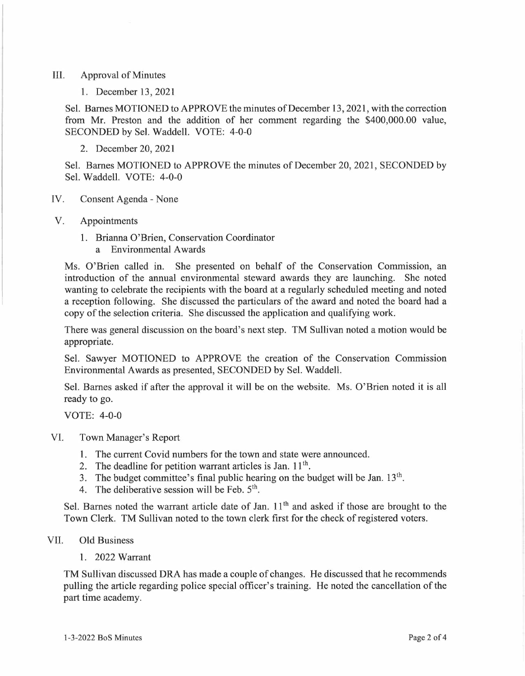#### III. Approval of Minutes

1. December 13, 2021

Sel. Barnes MOTIONED to APPROVE the minutes of December 13, 2021, with the correction from Mr. Preston and the addition of her comment regarding the \$400,000.00 value, SECONDED by Sel. Waddell. VOTE: 4-0-0

2. December 20, 2021

Sel. Barnes MOTIONED to APPROVE the minutes of December 20, 2021, SECONDED by Sel. Waddell. VOTE: 4-0-0

- IV. Consent Agenda None
- V. Appointments
	- 1. Brianna O'Brien, Conservation Coordinator
		- a Environmental Awards

Ms. O'Brien called in. She presented on behalf of the Conservation Commission, an introduction of the annual environmental steward awards they are launching. She noted wanting to celebrate the recipients with the board at a regularly scheduled meeting and noted a reception following. She discussed the particulars of the award and noted the board had a copy of the selection criteria. She discussed the application and qualifying work.

There was general discussion on the board's next step. TM Sullivan noted a motion would be appropriate.

Sel. Sawyer MOTIONED to APPROVE the creation of the Conservation Commission Environmental Awards as presented, SECONDED by Sel. Waddell.

Sel. Barnes asked if after the approval it will be on the website. Ms. O'Brien noted it is all ready to go.

VOTE: 4-0-0

- VI. Town Manager's Report
	- 1. The current Covid numbers for the town and state were announced.
	- 2. The deadline for petition warrant articles is Jan.  $11<sup>th</sup>$ .
	- 3. The budget committee's final public hearing on the budget will be Jan.  $13<sup>th</sup>$ .
	- 4. The deliberative session will be Feb.  $5<sup>th</sup>$ .

Sel. Barnes noted the warrant article date of Jan. 11<sup>th</sup> and asked if those are brought to the Town Clerk. TM Sullivan noted to the town clerk first for the check of registered voters.

### VII. Old Business

1. 2022 Warrant

TM Sullivan discussed DRA has made a couple of changes. He discussed that he recommends pulling the article regarding police special officer's training. He noted the cancellation of the part time academy.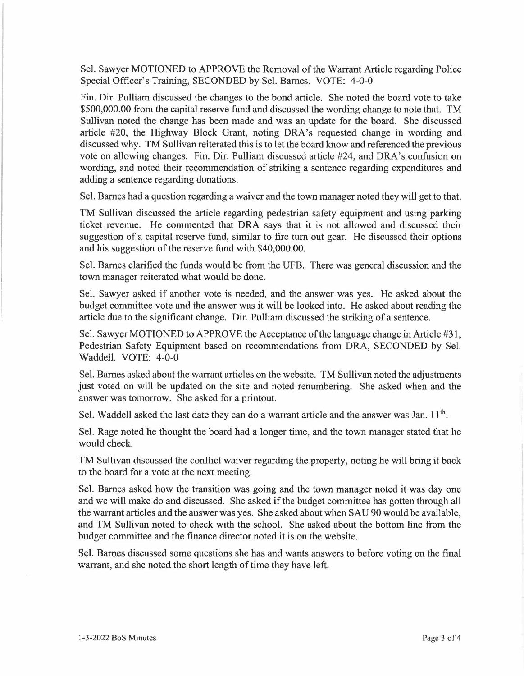Sel. Sawyer MOTIONED to APPROVE the Removal of the Warrant Article regarding Police Special Officer's Training, SECONDED by Sel. Barnes. VOTE: 4-0-0

Fin. Dir. Pulliam discussed the changes to the bond article. She noted the board vote to take \$500,000.00 from the capital reserve fund and discussed the wording change to note that. TM Sullivan noted the change has been made and was an update for the board. She discussed article #20, the Highway Block Grant, noting DRA's requested change in wording and discussed why. TM Sullivan reiterated this is to let the board know and referenced the previous vote on allowing changes. Fin. Dir. Pulliam discussed article #24, and DRA's confusion on wording, and noted their recommendation of striking a sentence regarding expenditures and adding a sentence regarding donations.

Sel. Barnes had a question regarding a waiver and the town manager noted they will get to that.

TM Sullivan discussed the article regarding pedestrian safety equipment and using parking ticket revenue. He commented that DRA says that it is not allowed and discussed their suggestion of a capital reserve fund, similar to fire tum out gear. He discussed their options and his suggestion of the reserve fund with \$40,000.00.

Sel. Barnes clarified the funds would be from the UFB. There was general discussion and the town manager reiterated what would be done.

Sel. Sawyer asked if another vote is needed, and the answer was yes. He asked about the budget committee vote and the answer was it will be looked into. He asked about reading the article due to the significant change. Dir. Pulliam discussed the striking of a sentence.

Sel. Sawyer MOTIONED to APPROVE the Acceptance of the language change in Article #31, Pedestrian Safety Equipment based on recommendations from DRA, SECONDED by Sel. Waddell. VOTE: 4-0-0

Sel. Barnes asked about the warrant articles on the website. TM Sullivan noted the adjustments just voted on will be updated on the site and noted renumbering. She asked when and the answer was tomorrow. She asked for a printout.

Sel. Waddell asked the last date they can do a warrant article and the answer was Jan.  $11^{th}$ .

Sel. Rage noted he thought the board had a longer time, and the town manager stated that he would check.

TM Sullivan discussed the conflict waiver regarding the property, noting he will bring it back to the board for a vote at the next meeting.

Sel. Barnes asked how the transition was going and the town manager noted it was day one and we will make do and discussed. She asked if the budget committee has gotten through all the warrant articles and the answer was yes. She asked about when SAU 90 would be available, and TM Sullivan noted to check with the school. She asked about the bottom line from the budget committee and the finance director noted it is on the website.

Sel. Barnes discussed some questions she has and wants answers to before voting on the final warrant, and she noted the short length of time they have left.